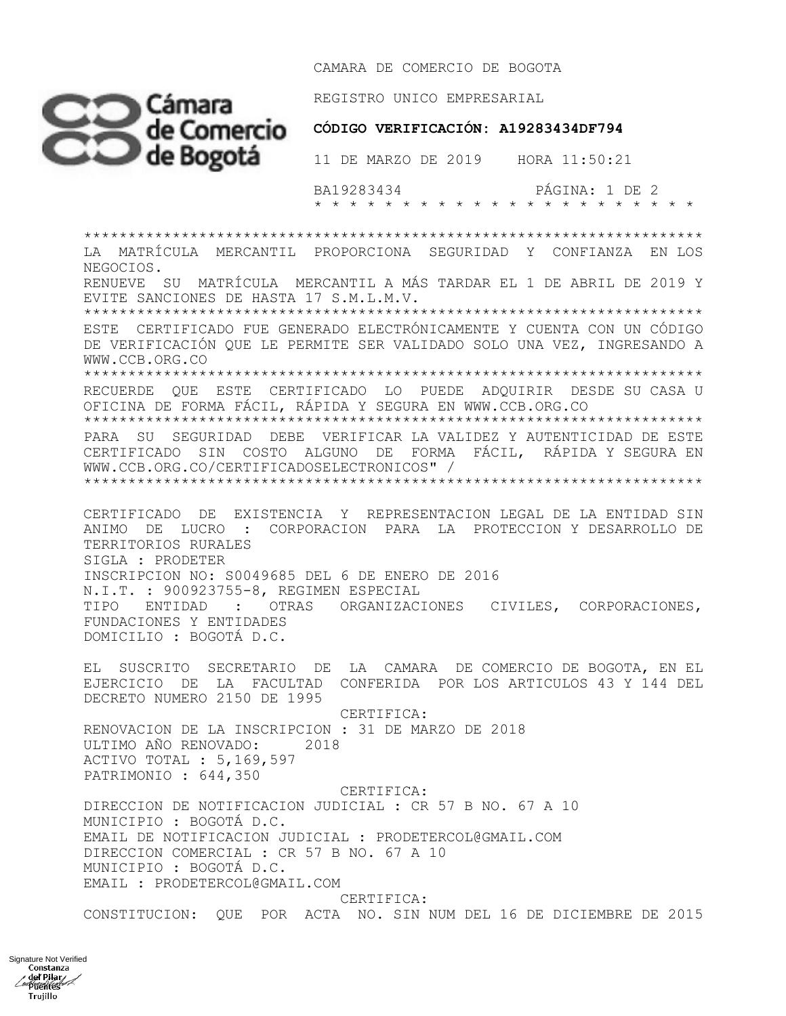CAMARA DE COMERCIO DE BOGOTA



REGISTRO UNICO EMPRESARIAL

## CÓDIGO VERIFICACIÓN: A19283434DF794

11 DE MARZO DE 2019 HORA 11:50:21

BA19283434 PÁGINA: 1 DE 2 

LA MATRÍCULA MERCANTIL PROPORCIONA SEGURIDAD Y CONFIANZA EN LOS NEGOCIOS. RENUEVE SU MATRÍCULA MERCANTIL A MÁS TARDAR EL 1 DE ABRIL DE 2019 Y EVITE SANCIONES DE HASTA 17 S.M.L.M.V. ESTE CERTIFICADO FUE GENERADO ELECTRÓNICAMENTE Y CUENTA CON UN CÓDIGO DE VERIFICACIÓN QUE LE PERMITE SER VALIDADO SOLO UNA VEZ, INGRESANDO A

WWW.CCB.ORG.CO

RECUERDE QUE ESTE CERTIFICADO LO PUEDE ADQUIRIR DESDE SU CASA U

OFICINA DE FORMA FÁCIL, RÁPIDA Y SEGURA EN WWW.CCB.ORG.CO 

PARA SU SEGURIDAD DEBE VERIFICAR LA VALIDEZ Y AUTENTICIDAD DE ESTE CERTIFICADO SIN COSTO ALGUNO DE FORMA FÁCIL, RÁPIDA Y SEGURA EN WWW.CCB.ORG.CO/CERTIFICADOSELECTRONICOS" / 

CERTIFICADO DE EXISTENCIA Y REPRESENTACION LEGAL DE LA ENTIDAD SIN ANIMO DE LUCRO : CORPORACION PARA LA PROTECCION Y DESARROLLO DE TERRITORIOS RURALES SIGLA : PRODETER INSCRIPCION NO: S0049685 DEL 6 DE ENERO DE 2016 N.I.T. : 900923755-8, REGIMEN ESPECIAL TIPO ENTIDAD : OTRAS ORGANIZACIONES CIVILES, CORPORACIONES, FUNDACIONES Y ENTIDADES DOMICILIO : BOGOTÁ D.C.

EL SUSCRITO SECRETARIO DE LA CAMARA DE COMERCIO DE BOGOTA, EN EL EJERCICIO DE LA FACULTAD CONFERIDA POR LOS ARTICULOS 43 Y 144 DEL DECRETO NUMERO 2150 DE 1995

CERTIFICA: RENOVACION DE LA INSCRIPCION : 31 DE MARZO DE 2018 ULTIMO AÑO RENOVADO: 2018 ACTIVO TOTAL : 5,169,597 PATRIMONIO : 644,350

CERTIFICA: DIRECCION DE NOTIFICACION JUDICIAL : CR 57 B NO. 67 A 10 MUNICIPIO : BOGOTÁ D.C. EMAIL DE NOTIFICACION JUDICIAL : PRODETERCOL@GMAIL.COM DIRECCION COMERCIAL : CR 57 B NO. 67 A 10 MUNICIPIO : BOGOTÁ D.C. EMAIL : PRODETERCOL@GMAIL.COM CERTIFICA:

CONSTITUCION: QUE POR ACTA NO. SIN NUM DEL 16 DE DICIEMBRE DE 2015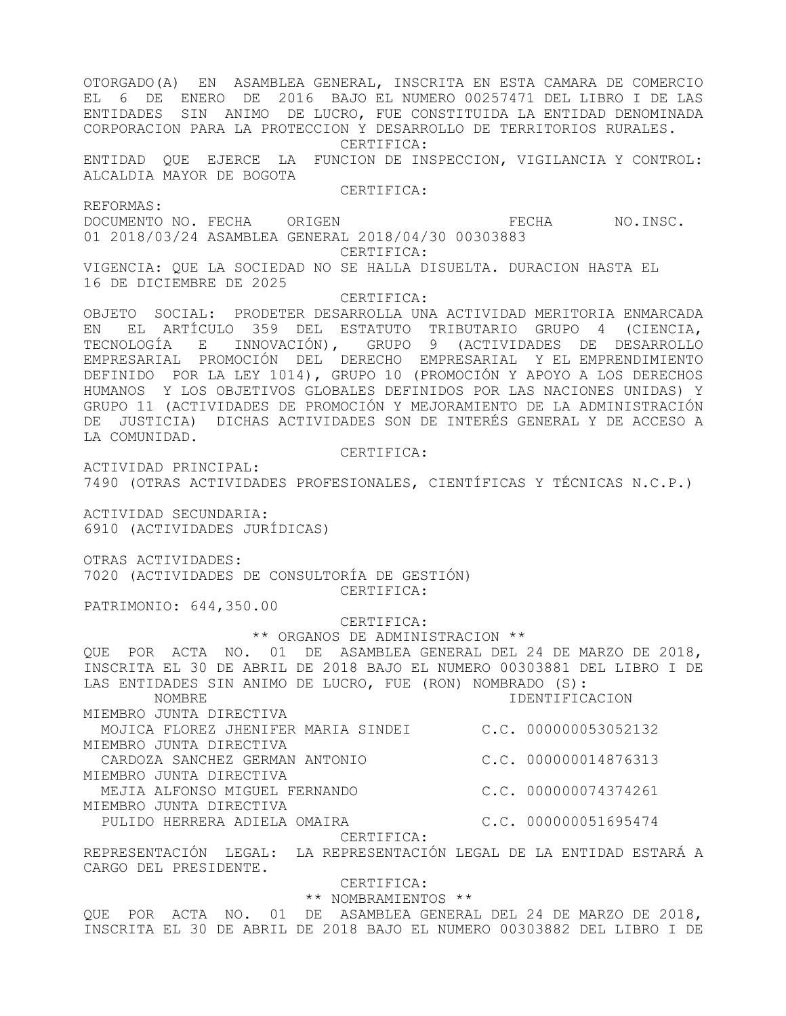OTORGADO(A) EN ASAMBLEA GENERAL, INSCRITA EN ESTA CAMARA DE COMERCIO EL 6 DE ENERO DE 2016 BAJO EL NUMERO 00257471 DEL LIBRO I DE LAS ENTIDADES SIN ANIMO DE LUCRO, FUE CONSTITUIDA LA ENTIDAD DENOMINADA CORPORACION PARA LA PROTECCION Y DESARROLLO DE TERRITORIOS RURALES. CERTIFICA: ENTIDAD QUE EJERCE LA FUNCION DE INSPECCION, VIGILANCIA Y CONTROL: ALCALDIA MAYOR DE BOGOTA CERTIFICA: REFORMAS: DOCUMENTO NO. FECHA ORIGEN CONSIDER TECHA NO.INSC. 01 2018/03/24 ASAMBLEA GENERAL 2018/04/30 00303883 CERTIFICA: VIGENCIA: QUE LA SOCIEDAD NO SE HALLA DISUELTA. DURACION HASTA EL 16 DE DICIEMBRE DE 2025 CERTIFICA: OBJETO SOCIAL: PRODETER DESARROLLA UNA ACTIVIDAD MERITORIA ENMARCADA EN EL ARTÍCULO 359 DEL ESTATUTO TRIBUTARIO GRUPO 4 (CIENCIA, TECNOLOGÍA E INNOVACIÓN), GRUPO 9 (ACTIVIDADES DE DESARROLLO EMPRESARIAL PROMOCIÓN DEL DERECHO EMPRESARIAL Y EL EMPRENDIMIENTO DEFINIDO POR LA LEY 1014), GRUPO 10 (PROMOCIÓN Y APOYO A LOS DERECHOS HUMANOS Y LOS OBJETIVOS GLOBALES DEFINIDOS POR LAS NACIONES UNIDAS) Y GRUPO 11 (ACTIVIDADES DE PROMOCIÓN Y MEJORAMIENTO DE LA ADMINISTRACIÓN DE JUSTICIA) DICHAS ACTIVIDADES SON DE INTERÉS GENERAL Y DE ACCESO A LA COMUNIDAD. CERTIFICA: ACTIVIDAD PRINCIPAL: 7490 (OTRAS ACTIVIDADES PROFESIONALES, CIENTÍFICAS Y TÉCNICAS N.C.P.) ACTIVIDAD SECUNDARIA: 6910 (ACTIVIDADES JURÍDICAS) OTRAS ACTIVIDADES: 7020 (ACTIVIDADES DE CONSULTORÍA DE GESTIÓN) CERTIFICA: PATRIMONIO: 644,350.00 CERTIFICA: \*\* ORGANOS DE ADMINISTRACION \*\* QUE POR ACTA NO. 01 DE ASAMBLEA GENERAL DEL 24 DE MARZO DE 2018, INSCRITA EL 30 DE ABRIL DE 2018 BAJO EL NUMERO 00303881 DEL LIBRO I DE LAS ENTIDADES SIN ANIMO DE LUCRO, FUE (RON) NOMBRADO (S): NOMBRE IDENTIFICACION MIEMBRO JUNTA DIRECTIVA MOJICA FLOREZ JHENIFER MARIA SINDEI C.C. 000000053052132 MIEMBRO JUNTA DIRECTIVA CARDOZA SANCHEZ GERMAN ANTONIO C.C. 000000014876313 MIEMBRO JUNTA DIRECTIVA MEJIA ALFONSO MIGUEL FERNANDO C.C. 000000074374261 MIEMBRO JUNTA DIRECTIVA PULIDO HERRERA ADIELA OMAIRA (C.C. 000000051695474 CERTIFICA: REPRESENTACIÓN LEGAL: LA REPRESENTACIÓN LEGAL DE LA ENTIDAD ESTARÁ A CARGO DEL PRESIDENTE. CERTIFICA: \*\* NOMBRAMIENTOS \*\* QUE POR ACTA NO. 01 DE ASAMBLEA GENERAL DEL 24 DE MARZO DE 2018,

INSCRITA EL 30 DE ABRIL DE 2018 BAJO EL NUMERO 00303882 DEL LIBRO I DE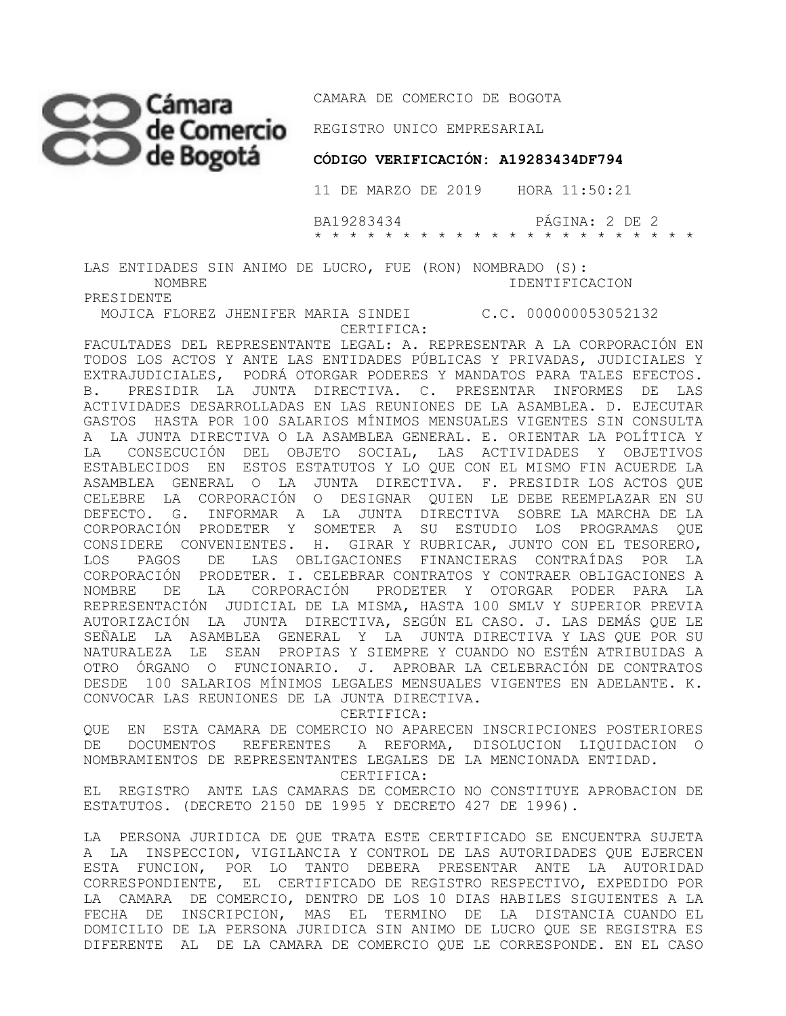CAMARA DE COMERCIO DE BOGOTA

**REGISTRO UNICO EMPRESARIAL** 

## **CÓDIGO VERIFICACIÓN: A19283434DF794**

11 DE MARZO DE 2019 HORA 11:50:21

 BA19283434 PÁGINA: 2 DE 2 \* \* \* \* \* \* \* \* \* \* \* \* \* \* \* \* \* \* \* \* \* \*

LAS ENTIDADES SIN ANIMO DE LUCRO, FUE (RON) NOMBRADO (S): NOMBRE IDENTIFICACION

PRESIDENTE

 MOJICA FLOREZ JHENIFER MARIA SINDEI C.C. 000000053052132 CERTIFICA:

FACULTADES DEL REPRESENTANTE LEGAL: A. REPRESENTAR A LA CORPORACIÓN EN TODOS LOS ACTOS Y ANTE LAS ENTIDADES PÚBLICAS Y PRIVADAS, JUDICIALES Y EXTRAJUDICIALES, PODRÁ OTORGAR PODERES Y MANDATOS PARA TALES EFECTOS. B. PRESIDIR LA JUNTA DIRECTIVA. C. PRESENTAR INFORMES DE LAS ACTIVIDADES DESARROLLADAS EN LAS REUNIONES DE LA ASAMBLEA. D. EJECUTAR GASTOS HASTA POR 100 SALARIOS MÍNIMOS MENSUALES VIGENTES SIN CONSULTA A LA JUNTA DIRECTIVA O LA ASAMBLEA GENERAL. E. ORIENTAR LA POLÍTICA Y LA CONSECUCIÓN DEL OBJETO SOCIAL, LAS ACTIVIDADES Y OBJETIVOS ESTABLECIDOS EN ESTOS ESTATUTOS Y LO QUE CON EL MISMO FIN ACUERDE LA ASAMBLEA GENERAL O LA JUNTA DIRECTIVA. F. PRESIDIR LOS ACTOS QUE CELEBRE LA CORPORACIÓN O DESIGNAR QUIEN LE DEBE REEMPLAZAR EN SU DEFECTO. G. INFORMAR A LA JUNTA DIRECTIVA SOBRE LA MARCHA DE LA CORPORACIÓN PRODETER Y SOMETER A SU ESTUDIO LOS PROGRAMAS QUE CONSIDERE CONVENIENTES. H. GIRAR Y RUBRICAR, JUNTO CON EL TESORERO, LOS PAGOS DE LAS OBLIGACIONES FINANCIERAS CONTRAÍDAS POR LA CORPORACIÓN PRODETER. I. CELEBRAR CONTRATOS Y CONTRAER OBLIGACIONES A NOMBRE DE LA CORPORACIÓN PRODETER Y OTORGAR PODER PARA LA REPRESENTACIÓN JUDICIAL DE LA MISMA, HASTA 100 SMLV Y SUPERIOR PREVIA AUTORIZACIÓN LA JUNTA DIRECTIVA, SEGÚN EL CASO. J. LAS DEMÁS QUE LE SEÑALE LA ASAMBLEA GENERAL Y LA JUNTA DIRECTIVA Y LAS QUE POR SU NATURALEZA LE SEAN PROPIAS Y SIEMPRE Y CUANDO NO ESTÉN ATRIBUIDAS A OTRO ÓRGANO O FUNCIONARIO. J. APROBAR LA CELEBRACIÓN DE CONTRATOS DESDE 100 SALARIOS MÍNIMOS LEGALES MENSUALES VIGENTES EN ADELANTE. K. CONVOCAR LAS REUNIONES DE LA JUNTA DIRECTIVA.

CERTIFICA:

QUE EN ESTA CAMARA DE COMERCIO NO APARECEN INSCRIPCIONES POSTERIORES DE DOCUMENTOS REFERENTES A REFORMA, DISOLUCION LIQUIDACION O NOMBRAMIENTOS DE REPRESENTANTES LEGALES DE LA MENCIONADA ENTIDAD.

CERTIFICA:

EL REGISTRO ANTE LAS CAMARAS DE COMERCIO NO CONSTITUYE APROBACION DE ESTATUTOS. (DECRETO 2150 DE 1995 Y DECRETO 427 DE 1996).

LA PERSONA JURIDICA DE QUE TRATA ESTE CERTIFICADO SE ENCUENTRA SUJETA A LA INSPECCION, VIGILANCIA Y CONTROL DE LAS AUTORIDADES QUE EJERCEN ESTA FUNCION, POR LO TANTO DEBERA PRESENTAR ANTE LA AUTORIDAD CORRESPONDIENTE, EL CERTIFICADO DE REGISTRO RESPECTIVO, EXPEDIDO POR LA CAMARA DE COMERCIO, DENTRO DE LOS 10 DIAS HABILES SIGUIENTES A LA FECHA DE INSCRIPCION, MAS EL TERMINO DE LA DISTANCIA CUANDO EL DOMICILIO DE LA PERSONA JURIDICA SIN ANIMO DE LUCRO QUE SE REGISTRA ES DIFERENTE AL DE LA CAMARA DE COMERCIO QUE LE CORRESPONDE. EN EL CASO